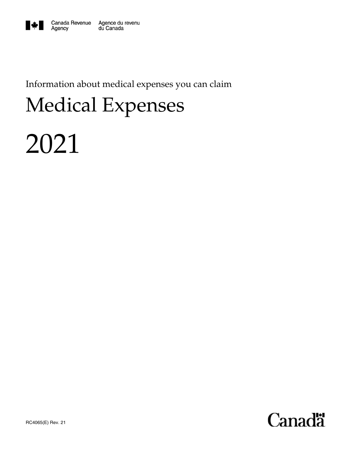

Information about medical expenses you can claim

# Medical Expenses

# 2021

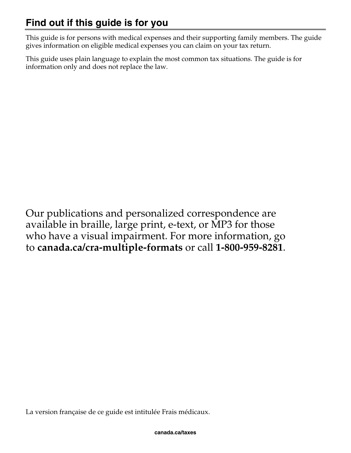This guide is for persons with medical expenses and their supporting family members. The guide gives information on eligible medical expenses you can claim on your tax return.

This guide uses plain language to explain the most common tax situations. The guide is for information only and does not replace the law.

Our publications and personalized correspondence are available in braille, large print, e-text, or MP3 for those who have a visual impairment. For more information, go to **canada.ca/cra-multiple-formats** or call **1-800-959-8281**.

La version française de ce guide est intitulée Frais médicaux.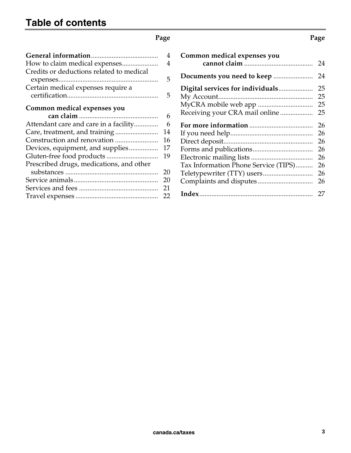#### **Page Page 2018**

| 4  |
|----|
| 4  |
|    |
| 5  |
|    |
| 5  |
|    |
|    |
| 6  |
| 6  |
| 14 |
| 16 |
| 17 |
| 19 |
|    |
| 20 |
| 20 |
| 21 |
| 22 |
|    |
|    |

| Common medical expenses you                                        |                                              |
|--------------------------------------------------------------------|----------------------------------------------|
|                                                                    |                                              |
| Digital services for individuals<br>Receiving your CRA mail online | 25<br>25<br>25<br>25                         |
| Tax Information Phone Service (TIPS)                               | 26<br>26<br>26<br>26<br>26<br>26<br>26<br>26 |
|                                                                    | 27                                           |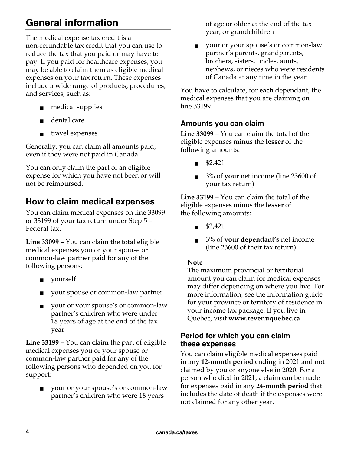## **General information**

The medical expense tax credit is a non-refundable tax credit that you can use to reduce the tax that you paid or may have to pay. If you paid for healthcare expenses, you may be able to claim them as eligible medical expenses on your tax return. These expenses include a wide range of products, procedures, and services, such as:

- medical supplies
- dental care
- travel expenses

Generally, you can claim all amounts paid, even if they were not paid in Canada.

You can only claim the part of an eligible expense for which you have not been or will not be reimbursed.

## **How to claim medical expenses**

You can claim medical expenses on line 33099 or 33199 of your tax return under Step 5 – Federal tax.

**Line 33099** – You can claim the total eligible medical expenses you or your spouse or common-law partner paid for any of the following persons:

- yourself
- your spouse or common-law partner
- your or your spouse's or common-law partner's children who were under 18 years of age at the end of the tax year

**Line 33199** – You can claim the part of eligible medical expenses you or your spouse or common-law partner paid for any of the following persons who depended on you for support:

■ your or your spouse's or common-law partner's children who were 18 years

of age or older at the end of the tax year, or grandchildren

■ your or your spouse's or common-law partner's parents, grandparents, brothers, sisters, uncles, aunts, nephews, or nieces who were residents of Canada at any time in the year

You have to calculate, for **each** dependant, the medical expenses that you are claiming on line 33199.

#### **Amounts you can claim**

**Line 33099** – You can claim the total of the eligible expenses minus the **lesser** of the following amounts:

- \$2,421
- 3% of **your** net income (line 23600 of your tax return)

**Line 33199** – You can claim the total of the eligible expenses minus the **lesser** of the following amounts:

- \$2,421
- 3% of **your dependant's** net income (line 23600 of their tax return)

#### **Note**

The maximum provincial or territorial amount you can claim for medical expenses may differ depending on where you live. For more information, see the information guide for your province or territory of residence in your income tax package. If you live in Quebec, visit **www.revenuquebec.ca**.

#### **Period for which you can claim these expenses**

You can claim eligible medical expenses paid in any **12-month period** ending in 2021 and not claimed by you or anyone else in 2020. For a person who died in 2021, a claim can be made for expenses paid in any **24-month period** that includes the date of death if the expenses were not claimed for any other year.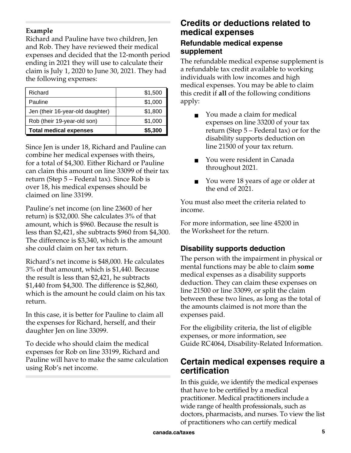#### **Example**

Richard and Pauline have two children, Jen and Rob. They have reviewed their medical expenses and decided that the 12-month period ending in 2021 they will use to calculate their claim is July 1, 2020 to June 30, 2021. They had the following expenses:

| Richard                          | \$1,500 |
|----------------------------------|---------|
| Pauline                          | \$1,000 |
| Jen (their 16-year-old daughter) | \$1,800 |
| Rob (their 19-year-old son)      | \$1,000 |
| <b>Total medical expenses</b>    | \$5,300 |

Since Jen is under 18, Richard and Pauline can combine her medical expenses with theirs, for a total of \$4,300. Either Richard or Pauline can claim this amount on line 33099 of their tax return (Step 5 – Federal tax). Since Rob is over 18, his medical expenses should be claimed on line 33199.

Pauline's net income (on line 23600 of her return) is \$32,000. She calculates 3% of that amount, which is \$960. Because the result is less than \$2,421, she subtracts \$960 from \$4,300. The difference is \$3,340, which is the amount she could claim on her tax return.

Richard's net income is \$48,000. He calculates 3% of that amount, which is \$1,440. Because the result is less than \$2,421, he subtracts \$1,440 from \$4,300. The difference is \$2,860, which is the amount he could claim on his tax return.

In this case, it is better for Pauline to claim all the expenses for Richard, herself, and their daughter Jen on line 33099.

To decide who should claim the medical expenses for Rob on line 33199, Richard and Pauline will have to make the same calculation using Rob's net income.

## **Credits or deductions related to medical expenses**

#### **Refundable medical expense supplement**

The refundable medical expense supplement is a refundable tax credit available to working individuals with low incomes and high medical expenses. You may be able to claim this credit if **all** of the following conditions apply:

- You made a claim for medical expenses on line 33200 of your tax return (Step 5 – Federal tax) or for the disability supports deduction on line 21500 of your tax return.
- You were resident in Canada throughout 2021.
- You were 18 years of age or older at the end of 2021.

You must also meet the criteria related to income.

For more information, see line 45200 in the Worksheet for the return.

## **Disability supports deduction**

The person with the impairment in physical or mental functions may be able to claim **some** medical expenses as a disability supports deduction. They can claim these expenses on line 21500 or line 33099, or split the claim between these two lines, as long as the total of the amounts claimed is not more than the expenses paid.

For the eligibility criteria, the list of eligible expenses, or more information, see Guide RC4064, Disability-Related Information.

## **Certain medical expenses require a certification**

In this guide, we identify the medical expenses that have to be certified by a medical practitioner. Medical practitioners include a wide range of health professionals, such as doctors, pharmacists, and nurses. To view the list of practitioners who can certify medical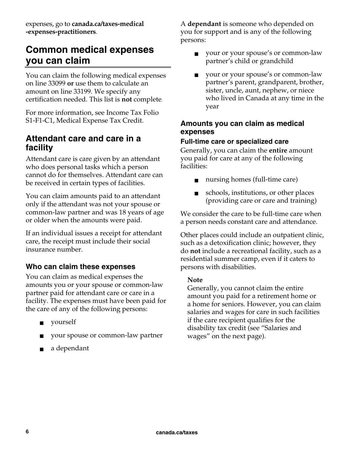expenses, go to **canada.ca/taxes-medical -expenses-practitioners**.

## **Common medical expenses you can claim**

You can claim the following medical expenses on line 33099 **or** use them to calculate an amount on line 33199. We specify any certification needed. This list is **not** complete.

For more information, see Income Tax Folio S1-F1-C1, Medical Expense Tax Credit.

#### **Attendant care and care in a facility**

Attendant care is care given by an attendant who does personal tasks which a person cannot do for themselves. Attendant care can be received in certain types of facilities.

You can claim amounts paid to an attendant only if the attendant was not your spouse or common-law partner and was 18 years of age or older when the amounts were paid.

If an individual issues a receipt for attendant care, the receipt must include their social insurance number.

### **Who can claim these expenses**

You can claim as medical expenses the amounts you or your spouse or common-law partner paid for attendant care or care in a facility. The expenses must have been paid for the care of any of the following persons:

- yourself
- your spouse or common-law partner
- a dependant

A **dependant** is someone who depended on you for support and is any of the following persons:

- your or your spouse's or common-law partner's child or grandchild
- your or your spouse's or common-law partner's parent, grandparent, brother, sister, uncle, aunt, nephew, or niece who lived in Canada at any time in the year

#### **Amounts you can claim as medical expenses**

#### **Full-time care or specialized care**

Generally, you can claim the **entire** amount you paid for care at any of the following facilities:

- nursing homes (full-time care)
- schools, institutions, or other places (providing care or care and training)

We consider the care to be full-time care when a person needs constant care and attendance.

Other places could include an outpatient clinic, such as a detoxification clinic; however, they do **not** include a recreational facility, such as a residential summer camp, even if it caters to persons with disabilities.

#### **Note**

Generally, you cannot claim the entire amount you paid for a retirement home or a home for seniors. However, you can claim salaries and wages for care in such facilities if the care recipient qualifies for the disability tax credit (see "Salaries and wages" on the next page).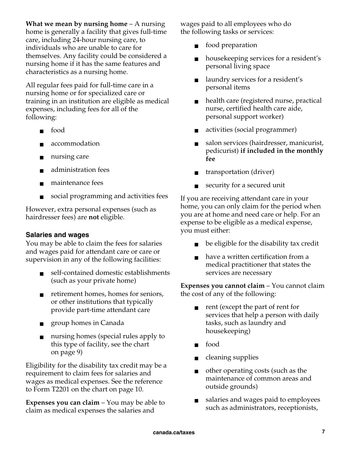**What we mean by nursing home** – A nursing home is generally a facility that gives full-time care, including 24-hour nursing care, to individuals who are unable to care for themselves. Any facility could be considered a nursing home if it has the same features and characteristics as a nursing home.

All regular fees paid for full-time care in a nursing home or for specialized care or training in an institution are eligible as medical expenses, including fees for all of the following:

- food
- accommodation
- nursing care
- administration fees
- maintenance fees
- social programming and activities fees

However, extra personal expenses (such as hairdresser fees) are **not** eligible.

#### **Salaries and wages**

You may be able to claim the fees for salaries and wages paid for attendant care or care or supervision in any of the following facilities:

- self-contained domestic establishments (such as your private home)
- retirement homes, homes for seniors, or other institutions that typically provide part-time attendant care
- group homes in Canada
- nursing homes (special rules apply to this type of facility, see the chart on page 9)

Eligibility for the disability tax credit may be a requirement to claim fees for salaries and wages as medical expenses. See the reference to Form T2201 on the chart on page 10.

**Expenses you can claim** – You may be able to claim as medical expenses the salaries and

wages paid to all employees who do the following tasks or services:

- food preparation
- housekeeping services for a resident's personal living space
- laundry services for a resident's personal items
- health care (registered nurse, practical nurse, certified health care aide, personal support worker)
- activities (social programmer)
- salon services (hairdresser, manicurist, pedicurist) **if included in the monthly fee**
- transportation (driver)
- security for a secured unit

If you are receiving attendant care in your home, you can only claim for the period when you are at home and need care or help. For an expense to be eligible as a medical expense, you must either:

- be eligible for the disability tax credit
- have a written certification from a medical practitioner that states the services are necessary

**Expenses you cannot claim** – You cannot claim the cost of any of the following:

- rent (except the part of rent for services that help a person with daily tasks, such as laundry and housekeeping)
- food
- cleaning supplies
- other operating costs (such as the maintenance of common areas and outside grounds)
- salaries and wages paid to employees such as administrators, receptionists,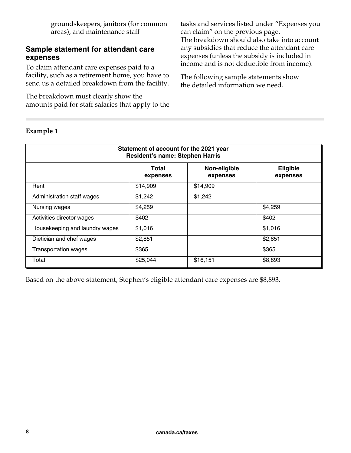groundskeepers, janitors (for common areas), and maintenance staff

#### **Sample statement for attendant care expenses**

To claim attendant care expenses paid to a facility, such as a retirement home, you have to send us a detailed breakdown from the facility.

The breakdown must clearly show the amounts paid for staff salaries that apply to the tasks and services listed under "Expenses you can claim" on the previous page.

The breakdown should also take into account any subsidies that reduce the attendant care expenses (unless the subsidy is included in income and is not deductible from income).

The following sample statements show the detailed information we need.

| Statement of account for the 2021 year<br><b>Resident's name: Stephen Harris</b> |                   |                          |                             |
|----------------------------------------------------------------------------------|-------------------|--------------------------|-----------------------------|
|                                                                                  | Total<br>expenses | Non-eligible<br>expenses | <b>Eligible</b><br>expenses |
| Rent                                                                             | \$14,909          | \$14,909                 |                             |
| Administration staff wages                                                       | \$1,242           | \$1,242                  |                             |
| Nursing wages                                                                    | \$4,259           |                          | \$4,259                     |
| Activities director wages                                                        | \$402             |                          | \$402                       |
| Housekeeping and laundry wages                                                   | \$1,016           |                          | \$1,016                     |
| Dietician and chef wages                                                         | \$2,851           |                          | \$2,851                     |
| <b>Transportation wages</b>                                                      | \$365             |                          | \$365                       |
| Total                                                                            | \$25,044          | \$16,151                 | \$8,893                     |

#### **Example 1**

Based on the above statement, Stephen's eligible attendant care expenses are \$8,893.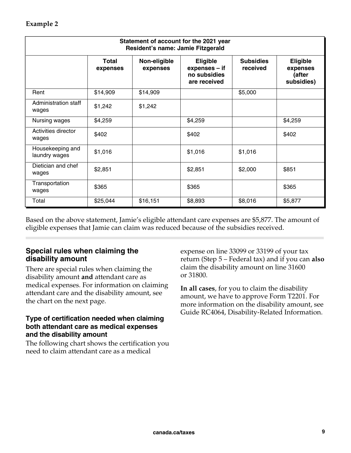| Statement of account for the 2021 year<br>Resident's name: Jamie Fitzgerald |                          |                          |                                                                  |                              |                                                     |
|-----------------------------------------------------------------------------|--------------------------|--------------------------|------------------------------------------------------------------|------------------------------|-----------------------------------------------------|
|                                                                             | <b>Total</b><br>expenses | Non-eligible<br>expenses | <b>Eligible</b><br>expenses - if<br>no subsidies<br>are received | <b>Subsidies</b><br>received | <b>Eligible</b><br>expenses<br>(after<br>subsidies) |
| Rent                                                                        | \$14,909                 | \$14,909                 |                                                                  | \$5,000                      |                                                     |
| Administration staff<br>wages                                               | \$1,242                  | \$1,242                  |                                                                  |                              |                                                     |
| Nursing wages                                                               | \$4,259                  |                          | \$4,259                                                          |                              | \$4,259                                             |
| Activities director<br>wages                                                | \$402                    |                          | \$402                                                            |                              | \$402                                               |
| Housekeeping and<br>laundry wages                                           | \$1,016                  |                          | \$1,016                                                          | \$1,016                      |                                                     |
| Dietician and chef<br>wages                                                 | \$2,851                  |                          | \$2,851                                                          | \$2,000                      | \$851                                               |
| Transportation<br>wages                                                     | \$365                    |                          | \$365                                                            |                              | \$365                                               |
| Total                                                                       | \$25,044                 | \$16,151                 | \$8,893                                                          | \$8,016                      | \$5,877                                             |

Based on the above statement, Jamie's eligible attendant care expenses are \$5,877. The amount of eligible expenses that Jamie can claim was reduced because of the subsidies received.

#### **Special rules when claiming the disability amount**

There are special rules when claiming the disability amount **and** attendant care as medical expenses. For information on claiming attendant care and the disability amount, see the chart on the next page.

#### **Type of certification needed when claiming both attendant care as medical expenses and the disability amount**

The following chart shows the certification you need to claim attendant care as a medical

expense on line 33099 or 33199 of your tax return (Step 5 – Federal tax) and if you can **also** claim the disability amount on line 31600 or 31800.

**In all cases**, for you to claim the disability amount, we have to approve Form T2201. For more information on the disability amount, see Guide RC4064, Disability-Related Information.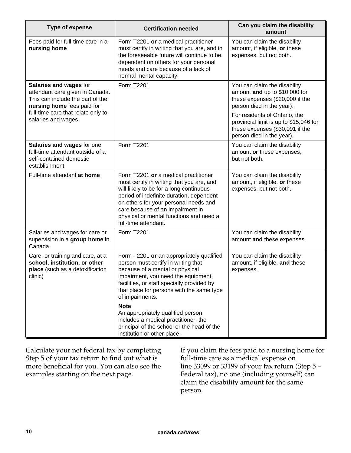| <b>Type of expense</b>                                                                                                      | <b>Certification needed</b>                                                                                                                                                                                                                                                                                              | Can you claim the disability<br>amount                                                                                                  |
|-----------------------------------------------------------------------------------------------------------------------------|--------------------------------------------------------------------------------------------------------------------------------------------------------------------------------------------------------------------------------------------------------------------------------------------------------------------------|-----------------------------------------------------------------------------------------------------------------------------------------|
| Fees paid for full-time care in a<br>nursing home                                                                           | Form T2201 or a medical practitioner<br>must certify in writing that you are, and in<br>the foreseeable future will continue to be,<br>dependent on others for your personal<br>needs and care because of a lack of<br>normal mental capacity.                                                                           | You can claim the disability<br>amount, if eligible, or these<br>expenses, but not both.                                                |
| Salaries and wages for<br>attendant care given in Canada.<br>This can include the part of the<br>nursing home fees paid for | Form T2201                                                                                                                                                                                                                                                                                                               | You can claim the disability<br>amount and up to \$10,000 for<br>these expenses (\$20,000 if the<br>person died in the year).           |
| full-time care that relate only to<br>salaries and wages                                                                    |                                                                                                                                                                                                                                                                                                                          | For residents of Ontario, the<br>provincial limit is up to \$15,046 for<br>these expenses (\$30,091 if the<br>person died in the year). |
| Salaries and wages for one<br>full-time attendant outside of a<br>self-contained domestic<br>establishment                  | Form T2201                                                                                                                                                                                                                                                                                                               | You can claim the disability<br>amount or these expenses,<br>but not both.                                                              |
| Full-time attendant at home                                                                                                 | Form T2201 or a medical practitioner<br>must certify in writing that you are, and<br>will likely to be for a long continuous<br>period of indefinite duration, dependent<br>on others for your personal needs and<br>care because of an impairment in<br>physical or mental functions and need a<br>full-time attendant. | You can claim the disability<br>amount, if eligible, or these<br>expenses, but not both.                                                |
| Salaries and wages for care or<br>supervision in a group home in<br>Canada                                                  | Form T2201                                                                                                                                                                                                                                                                                                               | You can claim the disability<br>amount and these expenses.                                                                              |
| Care, or training and care, at a<br>school, institution, or other<br>place (such as a detoxification<br>clinic)             | Form T2201 or an appropriately qualified<br>person must certify in writing that<br>because of a mental or physical<br>impairment, you need the equipment,<br>facilities, or staff specially provided by<br>that place for persons with the same type<br>of impairments.<br><b>Note</b>                                   | You can claim the disability<br>amount, if eligible, and these<br>expenses.                                                             |
|                                                                                                                             | An appropriately qualified person<br>includes a medical practitioner, the<br>principal of the school or the head of the<br>institution or other place.                                                                                                                                                                   |                                                                                                                                         |

Calculate your net federal tax by completing Step 5 of your tax return to find out what is more beneficial for you. You can also see the examples starting on the next page.

If you claim the fees paid to a nursing home for full-time care as a medical expense on line 33099 or 33199 of your tax return (Step 5 – Federal tax), no one (including yourself) can claim the disability amount for the same person.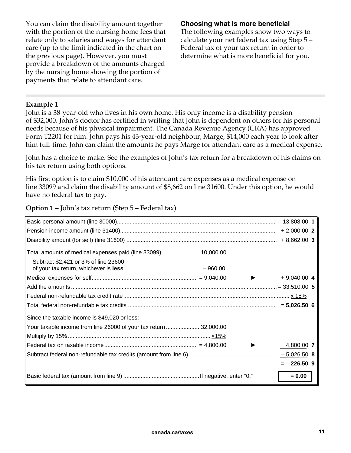You can claim the disability amount together with the portion of the nursing home fees that relate only to salaries and wages for attendant care (up to the limit indicated in the chart on the previous page). However, you must provide a breakdown of the amounts charged by the nursing home showing the portion of payments that relate to attendant care.

#### **Choosing what is more beneficial**

The following examples show two ways to calculate your net federal tax using Step 5 – Federal tax of your tax return in order to determine what is more beneficial for you.

#### **Example 1**

John is a 38-year-old who lives in his own home. His only income is a disability pension of \$32,000. John's doctor has certified in writing that John is dependent on others for his personal needs because of his physical impairment. The Canada Revenue Agency (CRA) has approved Form T2201 for him. John pays his 43-year-old neighbour, Marge, \$14,000 each year to look after him full-time. John can claim the amounts he pays Marge for attendant care as a medical expense.

John has a choice to make. See the examples of John's tax return for a breakdown of his claims on his tax return using both options.

His first option is to claim \$10,000 of his attendant care expenses as a medical expense on line 33099 and claim the disability amount of \$8,662 on line 31600. Under this option, he would have no federal tax to pay.

**Option 1** – John's tax return (Step 5 – Federal tax)

|                                                                                                      | 13,808.00 1   |  |
|------------------------------------------------------------------------------------------------------|---------------|--|
|                                                                                                      |               |  |
|                                                                                                      | $+8,662.00$ 3 |  |
| Total amounts of medical expenses paid (line 33099)10,000.00<br>Subtract \$2,421 or 3% of line 23600 |               |  |
|                                                                                                      |               |  |
|                                                                                                      | $+9,040.00$ 4 |  |
|                                                                                                      |               |  |
|                                                                                                      |               |  |
|                                                                                                      |               |  |
| Since the taxable income is \$49,020 or less:                                                        |               |  |
| Your taxable income from line 26000 of your tax return 32,000.00                                     |               |  |
|                                                                                                      |               |  |
|                                                                                                      | 4,800.00 7    |  |
|                                                                                                      |               |  |
|                                                                                                      | $=-226.509$   |  |
|                                                                                                      | $= 0.00$      |  |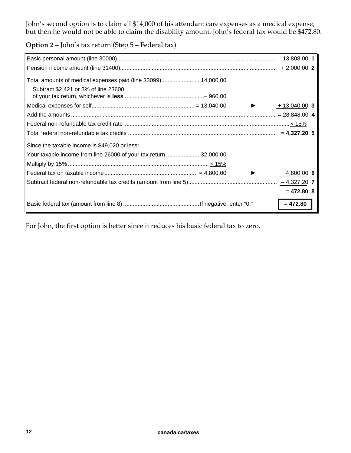John's second option is to claim all \$14,000 of his attendant care expenses as a medical expense, but then he would not be able to claim the disability amount. John's federal tax would be \$472.80.

**Option 2** – John's tax return (Step 5 – Federal tax)

|                                                                  | 13,808.00 1    |
|------------------------------------------------------------------|----------------|
|                                                                  | $+2,000.00$ 2  |
| Total amounts of medical expenses paid (line 33099)14,000.00     |                |
| Subtract \$2,421 or 3% of line 23600                             |                |
|                                                                  | $+13,040.00$ 3 |
|                                                                  |                |
|                                                                  |                |
|                                                                  |                |
| Since the taxable income is \$49,020 or less:                    |                |
| Your taxable income from line 26000 of your tax return 32,000.00 |                |
|                                                                  |                |
|                                                                  | 4,800.00 6     |
|                                                                  |                |
|                                                                  | $= 472.80$ 8   |
|                                                                  | $= 472.80$     |

For John, the first option is better since it reduces his basic federal tax to zero.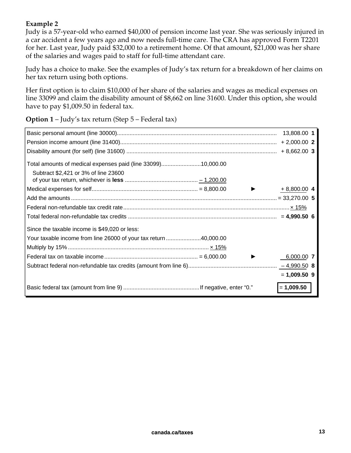#### **Example 2**

Judy is a 57-year-old who earned \$40,000 of pension income last year. She was seriously injured in a car accident a few years ago and now needs full-time care. The CRA has approved Form T2201 for her. Last year, Judy paid \$32,000 to a retirement home. Of that amount, \$21,000 was her share of the salaries and wages paid to staff for full-time attendant care.

Judy has a choice to make. See the examples of Judy's tax return for a breakdown of her claims on her tax return using both options.

Her first option is to claim \$10,000 of her share of the salaries and wages as medical expenses on line 33099 and claim the disability amount of \$8,662 on line 31600. Under this option, she would have to pay \$1,009.50 in federal tax.

**Option 1** – Judy's tax return (Step 5 – Federal tax)

|                                                                  | 13,808.00 1    |  |
|------------------------------------------------------------------|----------------|--|
|                                                                  |                |  |
|                                                                  |                |  |
| Total amounts of medical expenses paid (line 33099)10,000.00     |                |  |
| Subtract \$2,421 or 3% of line 23600                             |                |  |
|                                                                  | $+8,800.00$ 4  |  |
|                                                                  |                |  |
|                                                                  |                |  |
|                                                                  |                |  |
| Since the taxable income is \$49,020 or less:                    |                |  |
| Your taxable income from line 26000 of your tax return 40,000.00 |                |  |
|                                                                  |                |  |
|                                                                  | 6,000.00 7     |  |
|                                                                  |                |  |
|                                                                  | $= 1,009.50$ 9 |  |
|                                                                  | $= 1,009.50$   |  |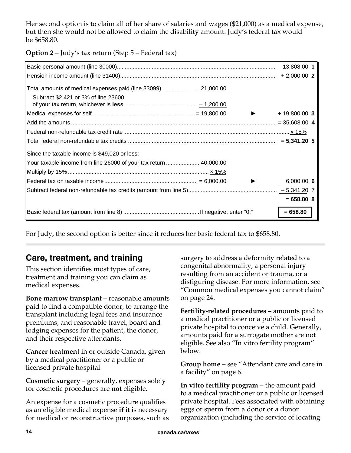Her second option is to claim all of her share of salaries and wages (\$21,000) as a medical expense, but then she would not be allowed to claim the disability amount. Judy's federal tax would be \$658.80.

**Option 2** – Judy's tax return (Step 5 – Federal tax)

|                                                                  | 13,808.00 1    |
|------------------------------------------------------------------|----------------|
|                                                                  |                |
| Total amounts of medical expenses paid (line 33099)21,000.00     |                |
| Subtract \$2,421 or 3% of line 23600                             |                |
|                                                                  | $+19,800.00$ 3 |
|                                                                  |                |
|                                                                  |                |
|                                                                  |                |
| Since the taxable income is \$49,020 or less:                    |                |
| Your taxable income from line 26000 of your tax return 40,000.00 |                |
|                                                                  |                |
|                                                                  | 6,000.006      |
|                                                                  |                |
|                                                                  | $= 658.80 8$   |
|                                                                  | $= 658.80$     |

For Judy, the second option is better since it reduces her basic federal tax to \$658.80.

## **Care, treatment, and training**

This section identifies most types of care, treatment and training you can claim as medical expenses.

**Bone marrow transplant** – reasonable amounts paid to find a compatible donor, to arrange the transplant including legal fees and insurance premiums, and reasonable travel, board and lodging expenses for the patient, the donor, and their respective attendants.

**Cancer treatment** in or outside Canada, given by a medical practitioner or a public or licensed private hospital.

**Cosmetic surgery** – generally, expenses solely for cosmetic procedures are **not** eligible.

An expense for a cosmetic procedure qualifies as an eligible medical expense **if** it is necessary for medical or reconstructive purposes, such as surgery to address a deformity related to a congenital abnormality, a personal injury resulting from an accident or trauma, or a disfiguring disease. For more information, see "Common medical expenses you cannot claim" on page 24.

**Fertility-related procedures** – amounts paid to a medical practitioner or a public or licensed private hospital to conceive a child. Generally, amounts paid for a surrogate mother are not eligible. See also "In vitro fertility program" below.

**Group home** – see "Attendant care and care in a facility" on page 6.

**In vitro fertility program** – the amount paid to a medical practitioner or a public or licensed private hospital. Fees associated with obtaining eggs or sperm from a donor or a donor organization (including the service of locating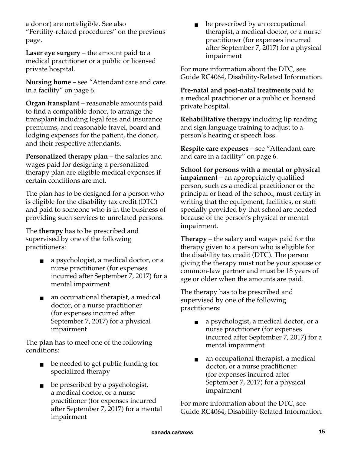a donor) are not eligible. See also "Fertility-related procedures" on the previous page.

**Laser eye surgery** – the amount paid to a medical practitioner or a public or licensed private hospital.

**Nursing home** – see "Attendant care and care in a facility" on page 6.

**Organ transplant** – reasonable amounts paid to find a compatible donor, to arrange the transplant including legal fees and insurance premiums, and reasonable travel, board and lodging expenses for the patient, the donor, and their respective attendants.

**Personalized therapy plan** – the salaries and wages paid for designing a personalized therapy plan are eligible medical expenses if certain conditions are met.

The plan has to be designed for a person who is eligible for the disability tax credit (DTC) and paid to someone who is in the business of providing such services to unrelated persons.

The **therapy** has to be prescribed and supervised by one of the following practitioners:

- a psychologist, a medical doctor, or a nurse practitioner (for expenses incurred after September 7, 2017) for a mental impairment
- an occupational therapist, a medical doctor, or a nurse practitioner (for expenses incurred after September 7, 2017) for a physical impairment

The **plan** has to meet one of the following conditions:

- be needed to get public funding for specialized therapy
- be prescribed by a psychologist, a medical doctor, or a nurse practitioner (for expenses incurred after September 7, 2017) for a mental impairment

be prescribed by an occupational therapist, a medical doctor, or a nurse practitioner (for expenses incurred after September 7, 2017) for a physical impairment

For more information about the DTC, see Guide RC4064, Disability-Related Information.

**Pre-natal and post-natal treatments** paid to a medical practitioner or a public or licensed private hospital.

**Rehabilitative therapy** including lip reading and sign language training to adjust to a person's hearing or speech loss.

**Respite care expenses** – see "Attendant care and care in a facility" on page 6.

**School for persons with a mental or physical impairment** – an appropriately qualified person, such as a medical practitioner or the principal or head of the school, must certify in writing that the equipment, facilities, or staff specially provided by that school are needed because of the person's physical or mental impairment.

**Therapy** – the salary and wages paid for the therapy given to a person who is eligible for the disability tax credit (DTC). The person giving the therapy must not be your spouse or common-law partner and must be 18 years of age or older when the amounts are paid.

The therapy has to be prescribed and supervised by one of the following practitioners:

- a psychologist, a medical doctor, or a nurse practitioner (for expenses incurred after September 7, 2017) for a mental impairment
- an occupational therapist, a medical doctor, or a nurse practitioner (for expenses incurred after September 7, 2017) for a physical impairment

For more information about the DTC, see Guide RC4064, Disability-Related Information.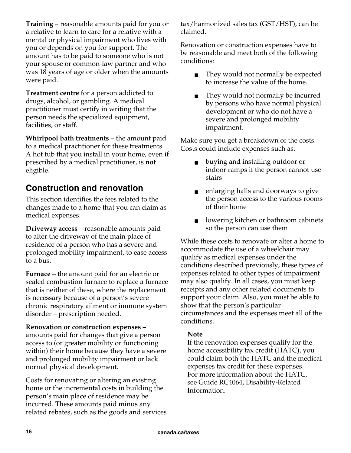**Training** – reasonable amounts paid for you or a relative to learn to care for a relative with a mental or physical impairment who lives with you or depends on you for support. The amount has to be paid to someone who is not your spouse or common-law partner and who was 18 years of age or older when the amounts were paid.

**Treatment centre** for a person addicted to drugs, alcohol, or gambling. A medical practitioner must certify in writing that the person needs the specialized equipment, facilities, or staff.

**Whirlpool bath treatments** – the amount paid to a medical practitioner for these treatments. A hot tub that you install in your home, even if prescribed by a medical practitioner, is **not** eligible.

## **Construction and renovation**

This section identifies the fees related to the changes made to a home that you can claim as medical expenses.

**Driveway access** – reasonable amounts paid to alter the driveway of the main place of residence of a person who has a severe and prolonged mobility impairment, to ease access to a bus.

**Furnace** – the amount paid for an electric or sealed combustion furnace to replace a furnace that is neither of these, where the replacement is necessary because of a person's severe chronic respiratory ailment or immune system disorder – prescription needed.

**Renovation or construction expenses** – amounts paid for changes that give a person access to (or greater mobility or functioning within) their home because they have a severe and prolonged mobility impairment or lack normal physical development.

Costs for renovating or altering an existing home or the incremental costs in building the person's main place of residence may be incurred. These amounts paid minus any related rebates, such as the goods and services tax/harmonized sales tax (GST/HST), can be claimed.

Renovation or construction expenses have to be reasonable and meet both of the following conditions:

- They would not normally be expected to increase the value of the home.
- They would not normally be incurred by persons who have normal physical development or who do not have a severe and prolonged mobility impairment.

Make sure you get a breakdown of the costs. Costs could include expenses such as:

- buying and installing outdoor or indoor ramps if the person cannot use stairs
- enlarging halls and doorways to give the person access to the various rooms of their home
- lowering kitchen or bathroom cabinets so the person can use them

While these costs to renovate or alter a home to accommodate the use of a wheelchair may qualify as medical expenses under the conditions described previously, these types of expenses related to other types of impairment may also qualify. In all cases, you must keep receipts and any other related documents to support your claim. Also, you must be able to show that the person's particular circumstances and the expenses meet all of the conditions.

#### **Note**

If the renovation expenses qualify for the home accessibility tax credit (HATC), you could claim both the HATC and the medical expenses tax credit for these expenses. For more information about the HATC, see Guide RC4064, Disability-Related Information.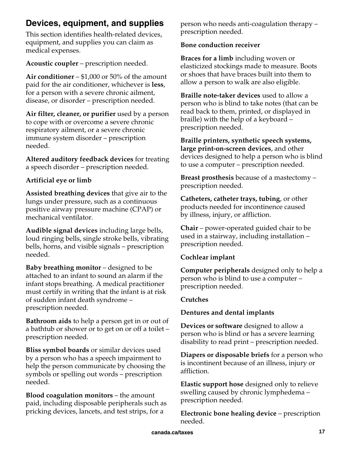## **Devices, equipment, and supplies**

This section identifies health-related devices, equipment, and supplies you can claim as medical expenses.

**Acoustic coupler** – prescription needed.

**Air conditioner** – \$1,000 or 50% of the amount paid for the air conditioner, whichever is **less**, for a person with a severe chronic ailment, disease, or disorder – prescription needed.

**Air filter, cleaner, or purifier** used by a person to cope with or overcome a severe chronic respiratory ailment, or a severe chronic immune system disorder – prescription needed.

**Altered auditory feedback devices** for treating a speech disorder – prescription needed.

#### **Artificial eye or limb**

**Assisted breathing devices** that give air to the lungs under pressure, such as a continuous positive airway pressure machine (CPAP) or mechanical ventilator.

**Audible signal devices** including large bells, loud ringing bells, single stroke bells, vibrating bells, horns, and visible signals – prescription needed.

**Baby breathing monitor** – designed to be attached to an infant to sound an alarm if the infant stops breathing. A medical practitioner must certify in writing that the infant is at risk of sudden infant death syndrome – prescription needed.

**Bathroom aids** to help a person get in or out of a bathtub or shower or to get on or off a toilet – prescription needed.

**Bliss symbol boards** or similar devices used by a person who has a speech impairment to help the person communicate by choosing the symbols or spelling out words – prescription needed.

**Blood coagulation monitors** – the amount paid, including disposable peripherals such as pricking devices, lancets, and test strips, for a

person who needs anti-coagulation therapy – prescription needed.

#### **Bone conduction receiver**

**Braces for a limb** including woven or elasticized stockings made to measure. Boots or shoes that have braces built into them to allow a person to walk are also eligible.

**Braille note-taker devices** used to allow a person who is blind to take notes (that can be read back to them, printed, or displayed in braille) with the help of a keyboard – prescription needed.

**Braille printers, synthetic speech systems, large print-on-screen devices**, and other devices designed to help a person who is blind to use a computer – prescription needed.

**Breast prosthesis** because of a mastectomy – prescription needed.

**Catheters, catheter trays, tubing**, or other products needed for incontinence caused by illness, injury, or affliction.

**Chair** – power-operated guided chair to be used in a stairway, including installation – prescription needed.

#### **Cochlear implant**

**Computer peripherals** designed only to help a person who is blind to use a computer – prescription needed.

#### **Crutches**

#### **Dentures and dental implants**

**Devices or software** designed to allow a person who is blind or has a severe learning disability to read print – prescription needed.

**Diapers or disposable briefs** for a person who is incontinent because of an illness, injury or affliction.

**Elastic support hose** designed only to relieve swelling caused by chronic lymphedema – prescription needed.

**Electronic bone healing device** – prescription needed.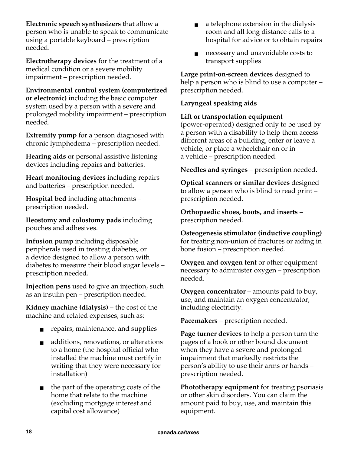**Electronic speech synthesizers** that allow a person who is unable to speak to communicate using a portable keyboard – prescription needed.

**Electrotherapy devices** for the treatment of a medical condition or a severe mobility impairment – prescription needed.

**Environmental control system (computerized or electronic)** including the basic computer system used by a person with a severe and prolonged mobility impairment – prescription needed.

**Extremity pump** for a person diagnosed with chronic lymphedema – prescription needed.

**Hearing aids** or personal assistive listening devices including repairs and batteries.

**Heart monitoring devices** including repairs and batteries – prescription needed.

**Hospital bed** including attachments – prescription needed.

**Ileostomy and colostomy pads** including pouches and adhesives.

**Infusion pump** including disposable peripherals used in treating diabetes, or a device designed to allow a person with diabetes to measure their blood sugar levels – prescription needed.

**Injection pens** used to give an injection, such as an insulin pen – prescription needed.

**Kidney machine (dialysis)** – the cost of the machine and related expenses, such as:

- repairs, maintenance, and supplies
- additions, renovations, or alterations to a home (the hospital official who installed the machine must certify in writing that they were necessary for installation)
- the part of the operating costs of the home that relate to the machine (excluding mortgage interest and capital cost allowance)
- a telephone extension in the dialysis room and all long distance calls to a hospital for advice or to obtain repairs
- necessary and unavoidable costs to transport supplies

**Large print-on-screen devices** designed to help a person who is blind to use a computer – prescription needed.

#### **Laryngeal speaking aids**

#### **Lift or transportation equipment**

(power-operated) designed only to be used by a person with a disability to help them access different areas of a building, enter or leave a vehicle, or place a wheelchair on or in a vehicle – prescription needed.

**Needles and syringes** – prescription needed.

**Optical scanners or similar devices** designed to allow a person who is blind to read print – prescription needed.

**Orthopaedic shoes, boots, and inserts** – prescription needed.

**Osteogenesis stimulator (inductive coupling)** for treating non-union of fractures or aiding in bone fusion – prescription needed.

**Oxygen and oxygen tent** or other equipment necessary to administer oxygen – prescription needed.

**Oxygen concentrator** – amounts paid to buy, use, and maintain an oxygen concentrator, including electricity.

**Pacemakers** – prescription needed.

**Page turner devices** to help a person turn the pages of a book or other bound document when they have a severe and prolonged impairment that markedly restricts the person's ability to use their arms or hands – prescription needed.

**Phototherapy equipment** for treating psoriasis or other skin disorders. You can claim the amount paid to buy, use, and maintain this equipment.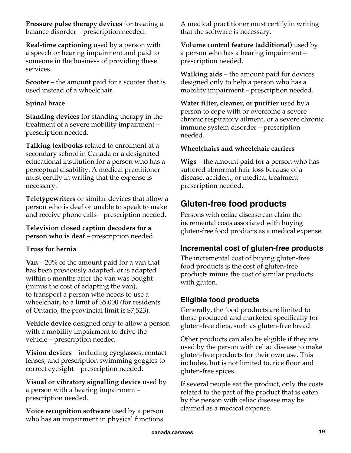**Pressure pulse therapy devices** for treating a balance disorder – prescription needed.

**Real-time captioning** used by a person with a speech or hearing impairment and paid to someone in the business of providing these services.

**Scooter** – the amount paid for a scooter that is used instead of a wheelchair.

#### **Spinal brace**

**Standing devices** for standing therapy in the treatment of a severe mobility impairment – prescription needed.

**Talking textbooks** related to enrolment at a secondary school in Canada or a designated educational institution for a person who has a perceptual disability. A medical practitioner must certify in writing that the expense is necessary.

**Teletypewriters** or similar devices that allow a person who is deaf or unable to speak to make and receive phone calls – prescription needed.

**Television closed caption decoders for a person who is deaf** – prescription needed.

#### **Truss for hernia**

**Van** – 20% of the amount paid for a van that has been previously adapted, or is adapted within 6 months after the van was bought (minus the cost of adapting the van), to transport a person who needs to use a wheelchair, to a limit of \$5,000 (for residents of Ontario, the provincial limit is \$7,523).

**Vehicle device** designed only to allow a person with a mobility impairment to drive the vehicle – prescription needed.

**Vision devices** – including eyeglasses, contact lenses, and prescription swimming goggles to correct eyesight – prescription needed.

**Visual or vibratory signalling device** used by a person with a hearing impairment – prescription needed.

**Voice recognition software** used by a person who has an impairment in physical functions. A medical practitioner must certify in writing that the software is necessary.

**Volume control feature (additional)** used by a person who has a hearing impairment – prescription needed.

**Walking aids** – the amount paid for devices designed only to help a person who has a mobility impairment – prescription needed.

**Water filter, cleaner, or purifier** used by a person to cope with or overcome a severe chronic respiratory ailment, or a severe chronic immune system disorder – prescription needed.

#### **Wheelchairs and wheelchair carriers**

**Wigs** – the amount paid for a person who has suffered abnormal hair loss because of a disease, accident, or medical treatment – prescription needed.

## **Gluten-free food products**

Persons with celiac disease can claim the incremental costs associated with buying gluten-free food products as a medical expense.

## **Incremental cost of gluten-free products**

The incremental cost of buying gluten-free food products is the cost of gluten-free products minus the cost of similar products with gluten.

## **Eligible food products**

Generally, the food products are limited to those produced and marketed specifically for gluten-free diets, such as gluten-free bread.

Other products can also be eligible if they are used by the person with celiac disease to make gluten-free products for their own use. This includes, but is not limited to, rice flour and gluten-free spices.

If several people eat the product, only the costs related to the part of the product that is eaten by the person with celiac disease may be claimed as a medical expense.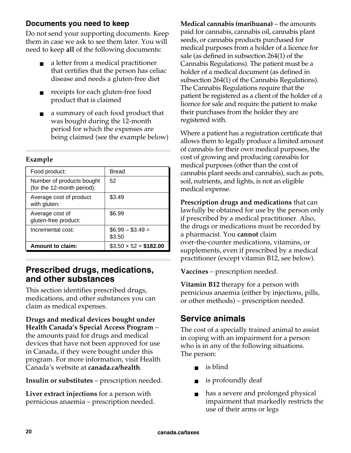### **Documents you need to keep**

Do not send your supporting documents. Keep them in case we ask to see them later. You will need to keep **all** of the following documents:

- a letter from a medical practitioner that certifies that the person has celiac disease and needs a gluten-free diet
- receipts for each gluten-free food product that is claimed
- a summary of each food product that was bought during the 12-month period for which the expenses are being claimed (see the example below)

#### **Example**

| Food product:                                           | <b>Bread</b>                |
|---------------------------------------------------------|-----------------------------|
| Number of products bought<br>(for the 12-month period): | 52                          |
| Average cost of product<br>with gluten:                 | \$3.49                      |
| Average cost of<br>gluten-free product:                 | \$6.99                      |
| Incremental cost:                                       | $$6.99 - $3.49 =$<br>\$3.50 |
| Amount to claim:                                        | $$3.50 \times 52 = $182.00$ |

### **Prescribed drugs, medications, and other substances**

This section identifies prescribed drugs, medications, and other substances you can claim as medical expenses.

**Drugs and medical devices bought under Health Canada's Special Access Program** – the amounts paid for drugs and medical devices that have not been approved for use in Canada, if they were bought under this program. For more information, visit Health Canada's website at **canada.ca/health**.

**Insulin or substitutes** – prescription needed.

**Liver extract injections** for a person with pernicious anaemia – prescription needed. **Medical cannabis (marihuana)** – the amounts paid for cannabis, cannabis oil, cannabis plant seeds, or cannabis products purchased for medical purposes from a holder of a licence for sale (as defined in subsection 264(1) of the Cannabis Regulations). The patient must be a holder of a medical document (as defined in subsection 264(1) of the Cannabis Regulations). The Cannabis Regulations require that the patient be registered as a client of the holder of a licence for sale and require the patient to make their purchases from the holder they are registered with.

Where a patient has a registration certificate that allows them to legally produce a limited amount of cannabis for their own medical purposes, the cost of growing and producing cannabis for medical purposes (other than the cost of cannabis plant seeds and cannabis), such as pots, soil, nutrients, and lights, is not an eligible medical expense.

**Prescription drugs and medications** that can lawfully be obtained for use by the person only if prescribed by a medical practitioner. Also, the drugs or medications must be recorded by a pharmacist. You **cannot** claim over-the-counter medications, vitamins, or supplements, even if prescribed by a medical practitioner (except vitamin B12, see below).

**Vaccines** – prescription needed.

**Vitamin B12** therapy for a person with pernicious anaemia (either by injections, pills, or other methods) – prescription needed.

## **Service animals**

The cost of a specially trained animal to assist in coping with an impairment for a person who is in any of the following situations. The person:

- is blind
- is profoundly deaf
- has a severe and prolonged physical impairment that markedly restricts the use of their arms or legs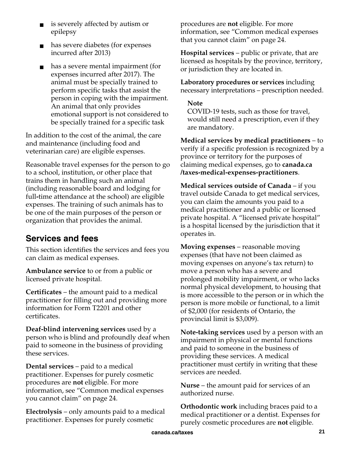- is severely affected by autism or epilepsy
- has severe diabetes (for expenses incurred after 2013)
- has a severe mental impairment (for expenses incurred after 2017). The animal must be specially trained to perform specific tasks that assist the person in coping with the impairment. An animal that only provides emotional support is not considered to be specially trained for a specific task

In addition to the cost of the animal, the care and maintenance (including food and veterinarian care) are eligible expenses.

Reasonable travel expenses for the person to go to a school, institution, or other place that trains them in handling such an animal (including reasonable board and lodging for full**-**time attendance at the school) are eligible expenses. The training of such animals has to be one of the main purposes of the person or organization that provides the animal.

## **Services and fees**

This section identifies the services and fees you can claim as medical expenses.

**Ambulance service** to or from a public or licensed private hospital.

**Certificates** – the amount paid to a medical practitioner for filling out and providing more information for Form T2201 and other certificates.

**Deaf-blind intervening services** used by a person who is blind and profoundly deaf when paid to someone in the business of providing these services.

**Dental services** – paid to a medical practitioner. Expenses for purely cosmetic procedures are **not** eligible. For more information, see "Common medical expenses you cannot claim" on page 24.

**Electrolysis** – only amounts paid to a medical practitioner. Expenses for purely cosmetic

procedures are **not** eligible. For more information, see "Common medical expenses that you cannot claim" on page 24.

**Hospital services** – public or private, that are licensed as hospitals by the province, territory, or jurisdiction they are located in.

**Laboratory procedures or services** including necessary interpretations – prescription needed.

#### **Note**

COVID-19 tests, such as those for travel, would still need a prescription, even if they are mandatory.

**Medical services by medical practitioners** – to verify if a specific profession is recognized by a province or territory for the purposes of claiming medical expenses, go to **canada.ca /taxes-medical-expenses-practitioners**.

**Medical services outside of Canada** – if you travel outside Canada to get medical services, you can claim the amounts you paid to a medical practitioner and a public or licensed private hospital. A "licensed private hospital" is a hospital licensed by the jurisdiction that it operates in.

**Moving expenses** – reasonable moving expenses (that have not been claimed as moving expenses on anyone's tax return) to move a person who has a severe and prolonged mobility impairment, or who lacks normal physical development, to housing that is more accessible to the person or in which the person is more mobile or functional, to a limit of \$2,000 (for residents of Ontario, the provincial limit is \$3,009).

**Note-taking services** used by a person with an impairment in physical or mental functions and paid to someone in the business of providing these services. A medical practitioner must certify in writing that these services are needed.

**Nurse** – the amount paid for services of an authorized nurse.

**Orthodontic work** including braces paid to a medical practitioner or a dentist. Expenses for purely cosmetic procedures are **not** eligible.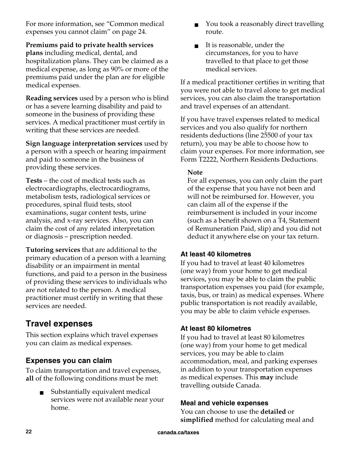For more information, see "Common medical expenses you cannot claim" on page 24.

**Premiums paid to private health services plans** including medical, dental, and hospitalization plans. They can be claimed as a medical expense, as long as 90% or more of the premiums paid under the plan are for eligible medical expenses.

**Reading services** used by a person who is blind or has a severe learning disability and paid to someone in the business of providing these services. A medical practitioner must certify in writing that these services are needed.

**Sign language interpretation services** used by a person with a speech or hearing impairment and paid to someone in the business of providing these services.

**Tests** – the cost of medical tests such as electrocardiographs, electrocardiograms, metabolism tests, radiological services or procedures, spinal fluid tests, stool examinations, sugar content tests, urine analysis, and x-ray services. Also, you can claim the cost of any related interpretation or diagnosis – prescription needed.

**Tutoring services** that are additional to the primary education of a person with a learning disability or an impairment in mental functions, and paid to a person in the business of providing these services to individuals who are not related to the person. A medical practitioner must certify in writing that these services are needed.

## **Travel expenses**

This section explains which travel expenses you can claim as medical expenses.

## **Expenses you can claim**

To claim transportation and travel expenses, **all** of the following conditions must be met:

> Substantially equivalent medical services were not available near your home.

- You took a reasonably direct travelling route.
- It is reasonable, under the circumstances, for you to have travelled to that place to get those medical services.

If a medical practitioner certifies in writing that you were not able to travel alone to get medical services, you can also claim the transportation and travel expenses of an attendant.

If you have travel expenses related to medical services and you also qualify for northern residents deductions (line 25500 of your tax return), you may be able to choose how to claim your expenses. For more information, see Form T2222, Northern Residents Deductions.

#### **Note**

For all expenses, you can only claim the part of the expense that you have not been and will not be reimbursed for. However, you can claim all of the expense if the reimbursement is included in your income (such as a benefit shown on a T4, Statement of Remuneration Paid, slip) and you did not deduct it anywhere else on your tax return.

#### **At least 40 kilometres**

If you had to travel at least 40 kilometres (one way) from your home to get medical services, you may be able to claim the public transportation expenses you paid (for example, taxis, bus, or train) as medical expenses. Where public transportation is not readily available, you may be able to claim vehicle expenses.

#### **At least 80 kilometres**

If you had to travel at least 80 kilometres (one way) from your home to get medical services, you may be able to claim accommodation, meal, and parking expenses in addition to your transportation expenses as medical expenses. This **may** include travelling outside Canada.

#### **Meal and vehicle expenses**

You can choose to use the **detailed** or **simplified** method for calculating meal and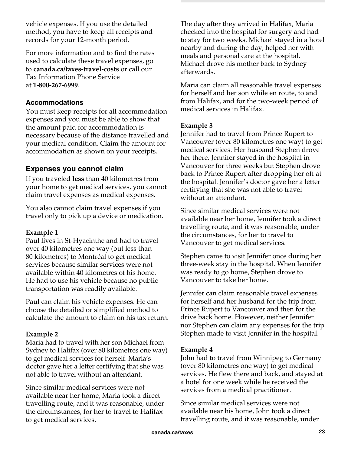vehicle expenses. If you use the detailed method, you have to keep all receipts and records for your 12-month period.

For more information and to find the rates used to calculate these travel expenses, go to **canada.ca/taxes-travel-costs** or call our Tax Information Phone Service at **1-800-267-6999**.

#### **Accommodations**

You must keep receipts for all accommodation expenses and you must be able to show that the amount paid for accommodation is necessary because of the distance travelled and your medical condition. Claim the amount for accommodation as shown on your receipts.

#### **Expenses you cannot claim**

If you traveled **less** than 40 kilometres from your home to get medical services, you cannot claim travel expenses as medical expenses.

You also cannot claim travel expenses if you travel only to pick up a device or medication.

#### **Example 1**

Paul lives in St-Hyacinthe and had to travel over 40 kilometres one way (but less than 80 kilometres) to Montréal to get medical services because similar services were not available within 40 kilometres of his home. He had to use his vehicle because no public transportation was readily available.

Paul can claim his vehicle expenses. He can choose the detailed or simplified method to calculate the amount to claim on his tax return.

#### **Example 2**

Maria had to travel with her son Michael from Sydney to Halifax (over 80 kilometres one way) to get medical services for herself. Maria's doctor gave her a letter certifying that she was not able to travel without an attendant.

Since similar medical services were not available near her home, Maria took a direct travelling route, and it was reasonable, under the circumstances, for her to travel to Halifax to get medical services.

The day after they arrived in Halifax, Maria checked into the hospital for surgery and had to stay for two weeks. Michael stayed in a hotel nearby and during the day, helped her with meals and personal care at the hospital. Michael drove his mother back to Sydney afterwards.

Maria can claim all reasonable travel expenses for herself and her son while en route, to and from Halifax, and for the two-week period of medical services in Halifax.

#### **Example 3**

Jennifer had to travel from Prince Rupert to Vancouver (over 80 kilometres one way) to get medical services. Her husband Stephen drove her there. Jennifer stayed in the hospital in Vancouver for three weeks but Stephen drove back to Prince Rupert after dropping her off at the hospital. Jennifer's doctor gave her a letter certifying that she was not able to travel without an attendant.

Since similar medical services were not available near her home, Jennifer took a direct travelling route, and it was reasonable, under the circumstances, for her to travel to Vancouver to get medical services.

Stephen came to visit Jennifer once during her three-week stay in the hospital. When Jennifer was ready to go home, Stephen drove to Vancouver to take her home.

Jennifer can claim reasonable travel expenses for herself and her husband for the trip from Prince Rupert to Vancouver and then for the drive back home. However, neither Jennifer nor Stephen can claim any expenses for the trip Stephen made to visit Jennifer in the hospital.

#### **Example 4**

John had to travel from Winnipeg to Germany (over 80 kilometres one way) to get medical services. He flew there and back, and stayed at a hotel for one week while he received the services from a medical practitioner.

Since similar medical services were not available near his home, John took a direct travelling route, and it was reasonable, under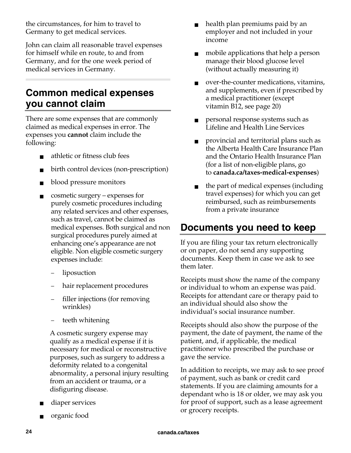the circumstances, for him to travel to Germany to get medical services.

John can claim all reasonable travel expenses for himself while en route, to and from Germany, and for the one week period of medical services in Germany.

## **Common medical expenses you cannot claim**

There are some expenses that are commonly claimed as medical expenses in error. The expenses you **cannot** claim include the following:

- athletic or fitness club fees
- birth control devices (non-prescription)
- blood pressure monitors
- cosmetic surgery expenses for purely cosmetic procedures including any related services and other expenses, such as travel, cannot be claimed as medical expenses. Both surgical and non surgical procedures purely aimed at enhancing one's appearance are not eligible. Non eligible cosmetic surgery expenses include:
	- liposuction
	- hair replacement procedures
	- filler injections (for removing wrinkles)
	- teeth whitening

A cosmetic surgery expense may qualify as a medical expense if it is necessary for medical or reconstructive purposes, such as surgery to address a deformity related to a congenital abnormality, a personal injury resulting from an accident or trauma, or a disfiguring disease.

- diaper services
- organic food
- health plan premiums paid by an employer and not included in your income
- mobile applications that help a person manage their blood glucose level (without actually measuring it)
- over-the-counter medications, vitamins, and supplements, even if prescribed by a medical practitioner (except vitamin B12, see page 20)
- personal response systems such as Lifeline and Health Line Services
- provincial and territorial plans such as the Alberta Health Care Insurance Plan and the Ontario Health Insurance Plan (for a list of non-eligible plans, go to **canada.ca/taxes-medical-expenses**)
- the part of medical expenses (including travel expenses) for which you can get reimbursed, such as reimbursements from a private insurance

## **Documents you need to keep**

If you are filing your tax return electronically or on paper, do not send any supporting documents. Keep them in case we ask to see them later.

Receipts must show the name of the company or individual to whom an expense was paid. Receipts for attendant care or therapy paid to an individual should also show the individual's social insurance number.

Receipts should also show the purpose of the payment, the date of payment, the name of the patient, and, if applicable, the medical practitioner who prescribed the purchase or gave the service.

In addition to receipts, we may ask to see proof of payment, such as bank or credit card statements. If you are claiming amounts for a dependant who is 18 or older, we may ask you for proof of support, such as a lease agreement or grocery receipts.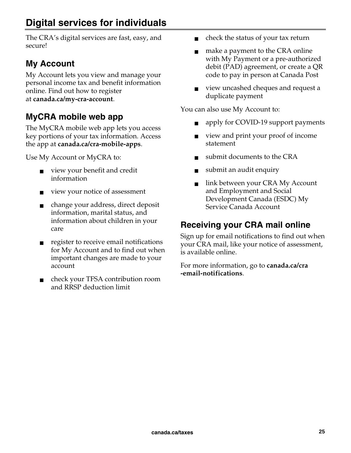The CRA's digital services are fast, easy, and secure!

## **My Account**

My Account lets you view and manage your personal income tax and benefit information online. Find out how to register at **canada.ca/my-cra-account**.

## **MyCRA mobile web app**

The MyCRA mobile web app lets you access key portions of your tax information. Access the app at **canada.ca/cra-mobile-apps**.

Use My Account or MyCRA to:

- view your benefit and credit information
- view your notice of assessment
- change your address, direct deposit information, marital status, and information about children in your care
- register to receive email notifications for My Account and to find out when important changes are made to your account
- check your TFSA contribution room and RRSP deduction limit
- check the status of your tax return
- make a payment to the CRA online with My Payment or a pre-authorized debit (PAD) agreement, or create a QR code to pay in person at Canada Post
- view uncashed cheques and request a duplicate payment

You can also use My Account to:

- apply for COVID-19 support payments
- view and print your proof of income statement
- submit documents to the CRA
- submit an audit enquiry
- link between your CRA My Account and Employment and Social Development Canada (ESDC) My Service Canada Account

## **Receiving your CRA mail online**

Sign up for email notifications to find out when your CRA mail, like your notice of assessment, is available online.

For more information, go to **canada.ca/cra -email-notifications**.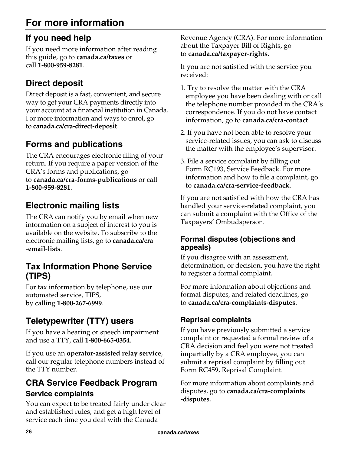## **For more information**

## **If you need help**

If you need more information after reading this guide, go to **canada.ca/taxes** or call **1-800-959-8281**.

## **Direct deposit**

Direct deposit is a fast, convenient, and secure way to get your CRA payments directly into your account at a financial institution in Canada. For more information and ways to enrol, go to **canada.ca/cra-direct-deposit**.

## **Forms and publications**

The CRA encourages electronic filing of your return. If you require a paper version of the CRA's forms and publications, go to **canada.ca/cra-forms-publications** or call **1-800-959-8281**.

## **Electronic mailing lists**

The CRA can notify you by email when new information on a subject of interest to you is available on the website. To subscribe to the electronic mailing lists, go to **canada.ca/cra -email-lists**.

## **Tax Information Phone Service (TIPS)**

For tax information by telephone, use our automated service, TIPS, by calling **1-800-267-6999**.

## **Teletypewriter (TTY) users**

If you have a hearing or speech impairment and use a TTY, call **1-800-665-0354**.

If you use an **operator-assisted relay service**, call our regular telephone numbers instead of the TTY number.

## **CRA Service Feedback Program Service complaints**

You can expect to be treated fairly under clear and established rules, and get a high level of service each time you deal with the Canada

Revenue Agency (CRA). For more information about the Taxpayer Bill of Rights, go to **canada.ca/taxpayer-rights**.

If you are not satisfied with the service you received:

- 1. Try to resolve the matter with the CRA employee you have been dealing with or call the telephone number provided in the CRA's correspondence. If you do not have contact information, go to **canada.ca/cra-contact**.
- 2. If you have not been able to resolve your service-related issues, you can ask to discuss the matter with the employee's supervisor.
- 3. File a service complaint by filling out Form RC193, Service Feedback. For more information and how to file a complaint, go to **canada.ca/cra-service-feedback**.

If you are not satisfied with how the CRA has handled your service-related complaint, you can submit a complaint with the Office of the Taxpayers' Ombudsperson.

#### **Formal disputes (objections and appeals)**

If you disagree with an assessment, determination, or decision, you have the right to register a formal complaint.

For more information about objections and formal disputes, and related deadlines, go to **canada.ca/cra-complaints-disputes**.

## **Reprisal complaints**

If you have previously submitted a service complaint or requested a formal review of a CRA decision and feel you were not treated impartially by a CRA employee, you can submit a reprisal complaint by filling out Form RC459, Reprisal Complaint.

For more information about complaints and disputes, go to **canada.ca/cra-complaints -disputes**.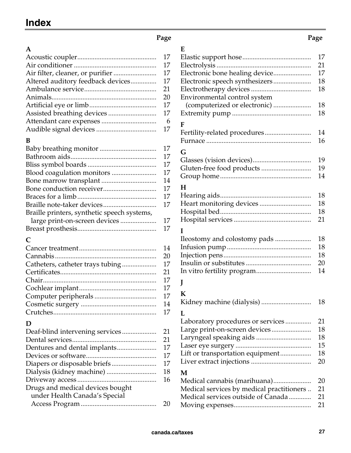## **Index**

#### **Page Page Page 2018**

| $\mathbf{A}$                      |    |
|-----------------------------------|----|
|                                   | 17 |
|                                   | 17 |
|                                   | 17 |
| Altered auditory feedback devices | 17 |
|                                   | 21 |
|                                   | 20 |
|                                   | 17 |
|                                   | 17 |
|                                   | 6  |
|                                   | 17 |
|                                   |    |

#### **B**

|                                             | 17 |
|---------------------------------------------|----|
|                                             | 17 |
|                                             | 17 |
|                                             | 17 |
|                                             | 14 |
|                                             | 17 |
|                                             | 17 |
|                                             | 17 |
| Braille printers, synthetic speech systems, |    |
|                                             | 17 |
|                                             | 17 |

#### **C**

| 14 |
|----|
| 20 |
| 17 |
| 21 |
| 17 |
| 17 |
| 17 |
| 14 |
|    |

#### **D**

|                                  | 21 |
|----------------------------------|----|
|                                  | 21 |
|                                  | 17 |
|                                  | 17 |
|                                  | 17 |
|                                  | 18 |
|                                  | 16 |
| Drugs and medical devices bought |    |
| under Health Canada's Special    |    |
|                                  |    |
|                                  |    |

| E                                         |    |
|-------------------------------------------|----|
|                                           | 17 |
|                                           | 21 |
| Electronic bone healing device            | 17 |
| Electronic speech synthesizers            | 18 |
|                                           | 18 |
| Environmental control system              |    |
| (computerized or electronic)              | 18 |
|                                           | 18 |
|                                           |    |
| F                                         |    |
| Fertility-related procedures              | 14 |
|                                           | 16 |
| G                                         |    |
|                                           | 19 |
| Gluten-free food products                 | 19 |
|                                           | 14 |
| Н                                         |    |
|                                           | 18 |
|                                           | 18 |
| Heart monitoring devices                  | 18 |
|                                           | 21 |
|                                           |    |
| I                                         |    |
| Ileostomy and colostomy pads              | 18 |
|                                           | 18 |
|                                           | 18 |
|                                           | 20 |
| In vitro fertility program                | 14 |
| J                                         |    |
|                                           |    |
| К                                         |    |
| Kidney machine (dialysis)                 | 18 |
| L                                         |    |
| Laboratory procedures or services         | 21 |
| Large print-on-screen devices             | 18 |
| Laryngeal speaking aids                   | 18 |
|                                           | 15 |
| Lift or transportation equipment          | 18 |
|                                           | 20 |
|                                           |    |
| M                                         |    |
| Medical cannabis (marihuana)              | 20 |
| Medical services by medical practitioners | 21 |
| Medical services outside of Canada        | 21 |
|                                           | 21 |